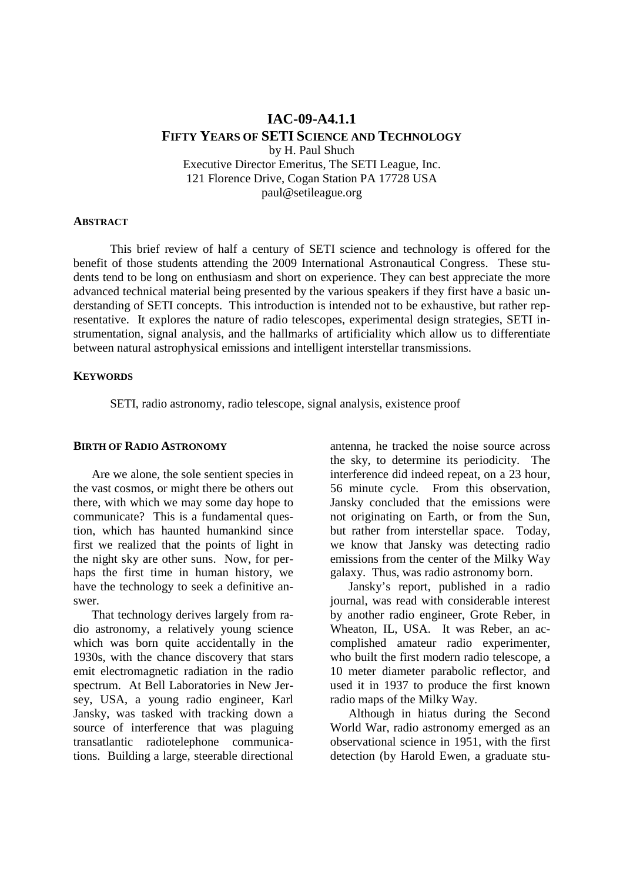# **IAC-09-A4.1.1 FIFTY YEARS OF SETI SCIENCE AND TECHNOLOGY** by H. Paul Shuch Executive Director Emeritus, The SETI League, Inc. 121 Florence Drive, Cogan Station PA 17728 USA paul@setileague.org

#### **ABSTRACT**

 This brief review of half a century of SETI science and technology is offered for the benefit of those students attending the 2009 International Astronautical Congress. These students tend to be long on enthusiasm and short on experience. They can best appreciate the more advanced technical material being presented by the various speakers if they first have a basic understanding of SETI concepts. This introduction is intended not to be exhaustive, but rather representative. It explores the nature of radio telescopes, experimental design strategies, SETI instrumentation, signal analysis, and the hallmarks of artificiality which allow us to differentiate between natural astrophysical emissions and intelligent interstellar transmissions.

### **KEYWORDS**

SETI, radio astronomy, radio telescope, signal analysis, existence proof

#### **BIRTH OF RADIO ASTRONOMY**

 Are we alone, the sole sentient species in the vast cosmos, or might there be others out there, with which we may some day hope to communicate? This is a fundamental question, which has haunted humankind since first we realized that the points of light in the night sky are other suns. Now, for perhaps the first time in human history, we have the technology to seek a definitive answer.

That technology derives largely from radio astronomy, a relatively young science which was born quite accidentally in the 1930s, with the chance discovery that stars emit electromagnetic radiation in the radio spectrum. At Bell Laboratories in New Jersey, USA, a young radio engineer, Karl Jansky, was tasked with tracking down a source of interference that was plaguing transatlantic radiotelephone communications. Building a large, steerable directional

antenna, he tracked the noise source across the sky, to determine its periodicity. The interference did indeed repeat, on a 23 hour, 56 minute cycle. From this observation, Jansky concluded that the emissions were not originating on Earth, or from the Sun, but rather from interstellar space. Today, we know that Jansky was detecting radio emissions from the center of the Milky Way galaxy. Thus, was radio astronomy born.

Jansky's report, published in a radio journal, was read with considerable interest by another radio engineer, Grote Reber, in Wheaton, IL, USA. It was Reber, an accomplished amateur radio experimenter, who built the first modern radio telescope, a 10 meter diameter parabolic reflector, and used it in 1937 to produce the first known radio maps of the Milky Way.

Although in hiatus during the Second World War, radio astronomy emerged as an observational science in 1951, with the first detection (by Harold Ewen, a graduate stu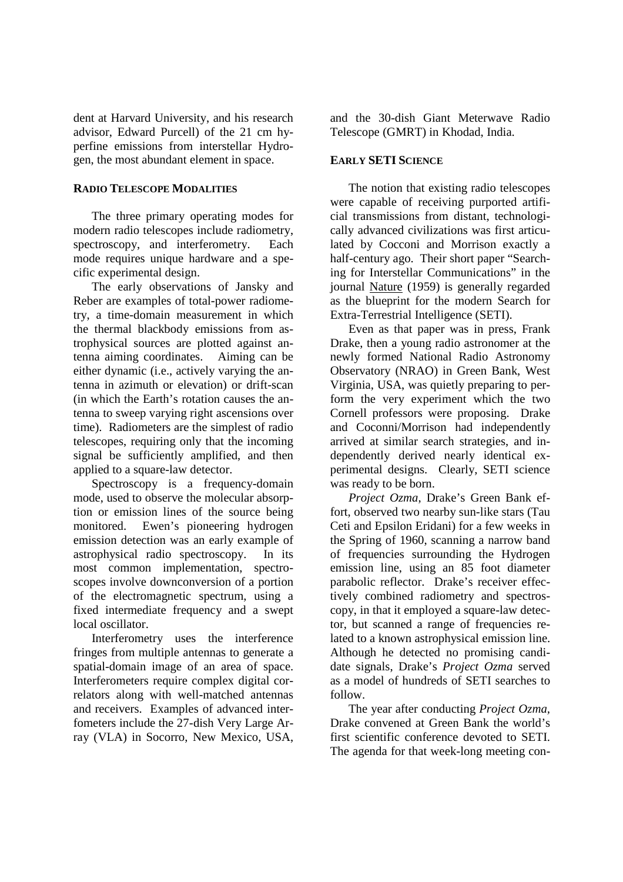dent at Harvard University, and his research advisor, Edward Purcell) of the 21 cm hyperfine emissions from interstellar Hydrogen, the most abundant element in space.

### **RADIO TELESCOPE MODALITIES**

The three primary operating modes for modern radio telescopes include radiometry, spectroscopy, and interferometry. Each mode requires unique hardware and a specific experimental design.

The early observations of Jansky and Reber are examples of total-power radiometry, a time-domain measurement in which the thermal blackbody emissions from astrophysical sources are plotted against antenna aiming coordinates. Aiming can be either dynamic (i.e., actively varying the antenna in azimuth or elevation) or drift-scan (in which the Earth's rotation causes the antenna to sweep varying right ascensions over time). Radiometers are the simplest of radio telescopes, requiring only that the incoming signal be sufficiently amplified, and then applied to a square-law detector.

Spectroscopy is a frequency-domain mode, used to observe the molecular absorption or emission lines of the source being monitored. Ewen's pioneering hydrogen emission detection was an early example of astrophysical radio spectroscopy. In its most common implementation, spectroscopes involve downconversion of a portion of the electromagnetic spectrum, using a fixed intermediate frequency and a swept local oscillator.

Interferometry uses the interference fringes from multiple antennas to generate a spatial-domain image of an area of space. Interferometers require complex digital correlators along with well-matched antennas and receivers. Examples of advanced interfometers include the 27-dish Very Large Array (VLA) in Socorro, New Mexico, USA, and the 30-dish Giant Meterwave Radio Telescope (GMRT) in Khodad, India.

## **EARLY SETI SCIENCE**

The notion that existing radio telescopes were capable of receiving purported artificial transmissions from distant, technologically advanced civilizations was first articulated by Cocconi and Morrison exactly a half-century ago. Their short paper "Searching for Interstellar Communications" in the journal Nature (1959) is generally regarded as the blueprint for the modern Search for Extra-Terrestrial Intelligence (SETI).

Even as that paper was in press, Frank Drake, then a young radio astronomer at the newly formed National Radio Astronomy Observatory (NRAO) in Green Bank, West Virginia, USA, was quietly preparing to perform the very experiment which the two Cornell professors were proposing. Drake and Coconni/Morrison had independently arrived at similar search strategies, and independently derived nearly identical experimental designs. Clearly, SETI science was ready to be born.

*Project Ozma*, Drake's Green Bank effort, observed two nearby sun-like stars (Tau Ceti and Epsilon Eridani) for a few weeks in the Spring of 1960, scanning a narrow band of frequencies surrounding the Hydrogen emission line, using an 85 foot diameter parabolic reflector. Drake's receiver effectively combined radiometry and spectroscopy, in that it employed a square-law detector, but scanned a range of frequencies related to a known astrophysical emission line. Although he detected no promising candidate signals, Drake's *Project Ozma* served as a model of hundreds of SETI searches to follow.

The year after conducting *Project Ozma,*  Drake convened at Green Bank the world's first scientific conference devoted to SETI. The agenda for that week-long meeting con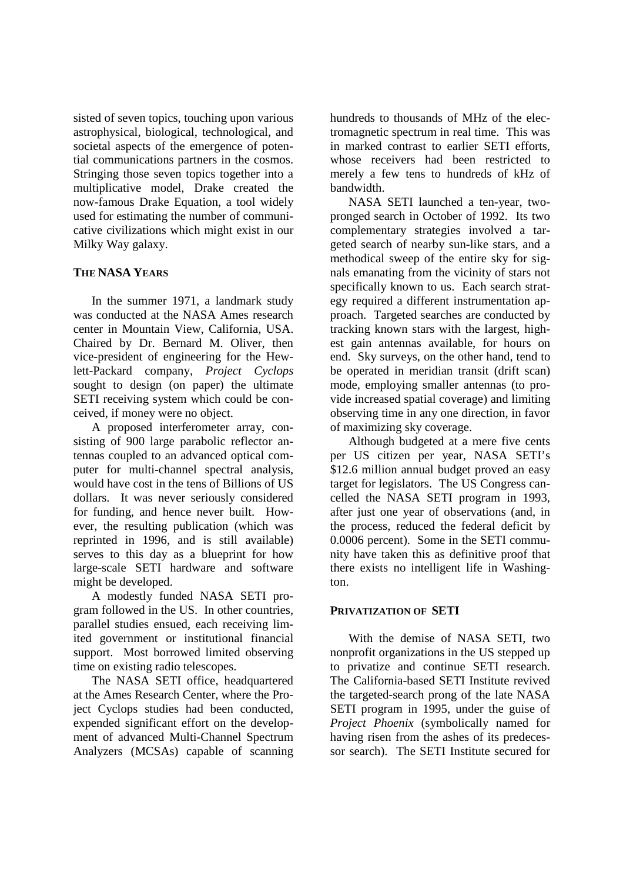sisted of seven topics, touching upon various astrophysical, biological, technological, and societal aspects of the emergence of potential communications partners in the cosmos. Stringing those seven topics together into a multiplicative model, Drake created the now-famous Drake Equation, a tool widely used for estimating the number of communicative civilizations which might exist in our Milky Way galaxy.

### **THE NASA YEARS**

In the summer 1971, a landmark study was conducted at the NASA Ames research center in Mountain View, California, USA. Chaired by Dr. Bernard M. Oliver, then vice-president of engineering for the Hewlett-Packard company, *Project Cyclops* sought to design (on paper) the ultimate SETI receiving system which could be conceived, if money were no object.

A proposed interferometer array, consisting of 900 large parabolic reflector antennas coupled to an advanced optical computer for multi-channel spectral analysis, would have cost in the tens of Billions of US dollars. It was never seriously considered for funding, and hence never built. However, the resulting publication (which was reprinted in 1996, and is still available) serves to this day as a blueprint for how large-scale SETI hardware and software might be developed.

A modestly funded NASA SETI program followed in the US. In other countries, parallel studies ensued, each receiving limited government or institutional financial support. Most borrowed limited observing time on existing radio telescopes.

The NASA SETI office, headquartered at the Ames Research Center, where the Project Cyclops studies had been conducted, expended significant effort on the development of advanced Multi-Channel Spectrum Analyzers (MCSAs) capable of scanning

hundreds to thousands of MHz of the electromagnetic spectrum in real time. This was in marked contrast to earlier SETI efforts, whose receivers had been restricted to merely a few tens to hundreds of kHz of bandwidth.

NASA SETI launched a ten-year, twopronged search in October of 1992. Its two complementary strategies involved a targeted search of nearby sun-like stars, and a methodical sweep of the entire sky for signals emanating from the vicinity of stars not specifically known to us. Each search strategy required a different instrumentation approach. Targeted searches are conducted by tracking known stars with the largest, highest gain antennas available, for hours on end. Sky surveys, on the other hand, tend to be operated in meridian transit (drift scan) mode, employing smaller antennas (to provide increased spatial coverage) and limiting observing time in any one direction, in favor of maximizing sky coverage.

Although budgeted at a mere five cents per US citizen per year, NASA SETI's \$12.6 million annual budget proved an easy target for legislators. The US Congress cancelled the NASA SETI program in 1993, after just one year of observations (and, in the process, reduced the federal deficit by 0.0006 percent). Some in the SETI community have taken this as definitive proof that there exists no intelligent life in Washington.

## **PRIVATIZATION OF SETI**

With the demise of NASA SETI, two nonprofit organizations in the US stepped up to privatize and continue SETI research. The California-based SETI Institute revived the targeted-search prong of the late NASA SETI program in 1995, under the guise of *Project Phoenix* (symbolically named for having risen from the ashes of its predecessor search). The SETI Institute secured for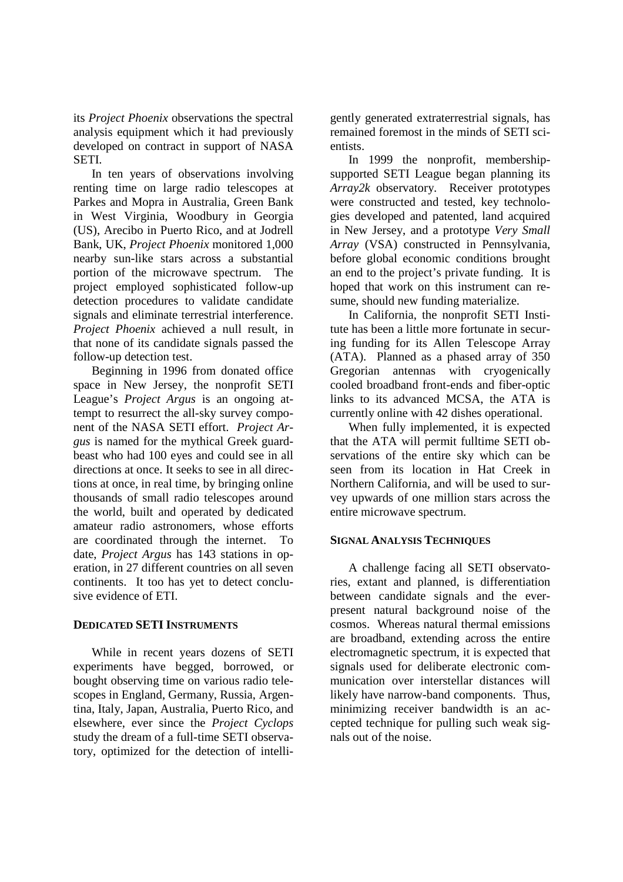its *Project Phoenix* observations the spectral analysis equipment which it had previously developed on contract in support of NASA SETI.

In ten years of observations involving renting time on large radio telescopes at Parkes and Mopra in Australia, Green Bank in West Virginia, Woodbury in Georgia (US), Arecibo in Puerto Rico, and at Jodrell Bank, UK, *Project Phoenix* monitored 1,000 nearby sun-like stars across a substantial portion of the microwave spectrum. The project employed sophisticated follow-up detection procedures to validate candidate signals and eliminate terrestrial interference. *Project Phoenix* achieved a null result, in that none of its candidate signals passed the follow-up detection test.

Beginning in 1996 from donated office space in New Jersey, the nonprofit SETI League's *Project Argus* is an ongoing attempt to resurrect the all-sky survey component of the NASA SETI effort. *Project Argus* is named for the mythical Greek guardbeast who had 100 eyes and could see in all directions at once. It seeks to see in all directions at once, in real time, by bringing online thousands of small radio telescopes around the world, built and operated by dedicated amateur radio astronomers, whose efforts are coordinated through the internet. To date, *Project Argus* has 143 stations in operation, in 27 different countries on all seven continents. It too has yet to detect conclusive evidence of ETI.

### **DEDICATED SETI INSTRUMENTS**

While in recent years dozens of SETI experiments have begged, borrowed, or bought observing time on various radio telescopes in England, Germany, Russia, Argentina, Italy, Japan, Australia, Puerto Rico, and elsewhere, ever since the *Project Cyclops* study the dream of a full-time SETI observatory, optimized for the detection of intelli-

gently generated extraterrestrial signals, has remained foremost in the minds of SETI scientists.

In 1999 the nonprofit, membershipsupported SETI League began planning its *Array2k* observatory. Receiver prototypes were constructed and tested, key technologies developed and patented, land acquired in New Jersey, and a prototype *Very Small Array* (VSA) constructed in Pennsylvania, before global economic conditions brought an end to the project's private funding. It is hoped that work on this instrument can resume, should new funding materialize.

In California, the nonprofit SETI Institute has been a little more fortunate in securing funding for its Allen Telescope Array (ATA). Planned as a phased array of 350 Gregorian antennas with cryogenically cooled broadband front-ends and fiber-optic links to its advanced MCSA, the ATA is currently online with 42 dishes operational.

When fully implemented, it is expected that the ATA will permit fulltime SETI observations of the entire sky which can be seen from its location in Hat Creek in Northern California, and will be used to survey upwards of one million stars across the entire microwave spectrum.

### **SIGNAL ANALYSIS TECHNIQUES**

A challenge facing all SETI observatories, extant and planned, is differentiation between candidate signals and the everpresent natural background noise of the cosmos. Whereas natural thermal emissions are broadband, extending across the entire electromagnetic spectrum, it is expected that signals used for deliberate electronic communication over interstellar distances will likely have narrow-band components. Thus, minimizing receiver bandwidth is an accepted technique for pulling such weak signals out of the noise.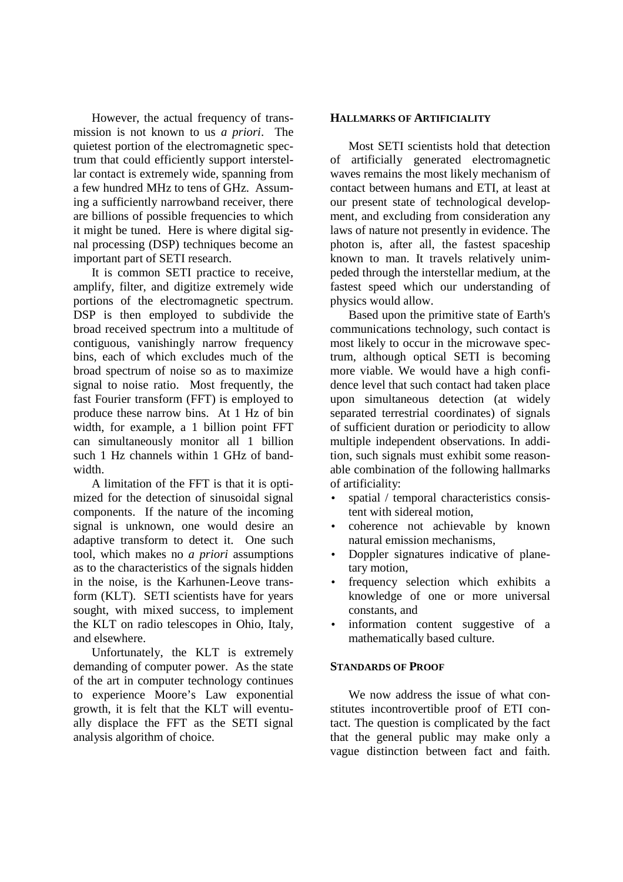However, the actual frequency of transmission is not known to us *a priori*. The quietest portion of the electromagnetic spectrum that could efficiently support interstellar contact is extremely wide, spanning from a few hundred MHz to tens of GHz. Assuming a sufficiently narrowband receiver, there are billions of possible frequencies to which it might be tuned. Here is where digital signal processing (DSP) techniques become an important part of SETI research.

It is common SETI practice to receive, amplify, filter, and digitize extremely wide portions of the electromagnetic spectrum. DSP is then employed to subdivide the broad received spectrum into a multitude of contiguous, vanishingly narrow frequency bins, each of which excludes much of the broad spectrum of noise so as to maximize signal to noise ratio. Most frequently, the fast Fourier transform (FFT) is employed to produce these narrow bins. At 1 Hz of bin width, for example, a 1 billion point FFT can simultaneously monitor all 1 billion such 1 Hz channels within 1 GHz of bandwidth.

A limitation of the FFT is that it is optimized for the detection of sinusoidal signal components. If the nature of the incoming signal is unknown, one would desire an adaptive transform to detect it. One such tool, which makes no *a priori* assumptions as to the characteristics of the signals hidden in the noise, is the Karhunen-Leove transform (KLT). SETI scientists have for years sought, with mixed success, to implement the KLT on radio telescopes in Ohio, Italy, and elsewhere.

Unfortunately, the KLT is extremely demanding of computer power. As the state of the art in computer technology continues to experience Moore's Law exponential growth, it is felt that the KLT will eventually displace the FFT as the SETI signal analysis algorithm of choice.

### **HALLMARKS OF ARTIFICIALITY**

Most SETI scientists hold that detection of artificially generated electromagnetic waves remains the most likely mechanism of contact between humans and ETI, at least at our present state of technological development, and excluding from consideration any laws of nature not presently in evidence. The photon is, after all, the fastest spaceship known to man. It travels relatively unimpeded through the interstellar medium, at the fastest speed which our understanding of physics would allow.

Based upon the primitive state of Earth's communications technology, such contact is most likely to occur in the microwave spectrum, although optical SETI is becoming more viable. We would have a high confidence level that such contact had taken place upon simultaneous detection (at widely separated terrestrial coordinates) of signals of sufficient duration or periodicity to allow multiple independent observations. In addition, such signals must exhibit some reasonable combination of the following hallmarks of artificiality:

- spatial / temporal characteristics consistent with sidereal motion,
- coherence not achievable by known natural emission mechanisms,
- Doppler signatures indicative of planetary motion,
- frequency selection which exhibits a knowledge of one or more universal constants, and
- information content suggestive of a mathematically based culture.

#### **STANDARDS OF PROOF**

We now address the issue of what constitutes incontrovertible proof of ETI contact. The question is complicated by the fact that the general public may make only a vague distinction between fact and faith.